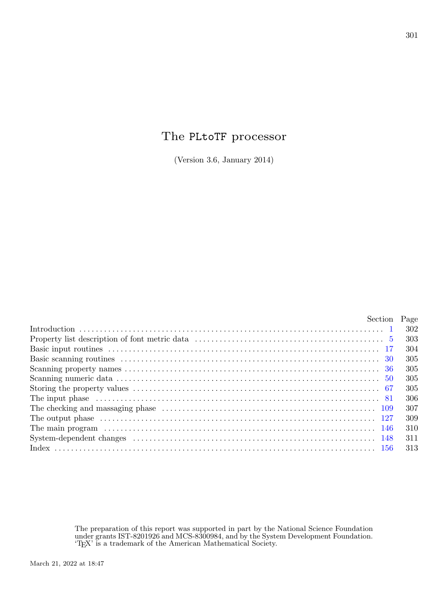## The PLtoTF processor

(Version 3.6, January 2014)

| Section Page |     |
|--------------|-----|
|              | 302 |
|              | 303 |
|              | 304 |
|              | 305 |
|              | 305 |
|              | 305 |
|              | 305 |
|              | 306 |
|              | 307 |
|              | 309 |
|              | 310 |
|              | 311 |
|              | 313 |

The preparation of this report was supported in part by the National Science Foundation under grants IST-8201926 and MCS-8300984, and by the System Development Foundation. 'TEX' is a trademark of the American Mathematical Society.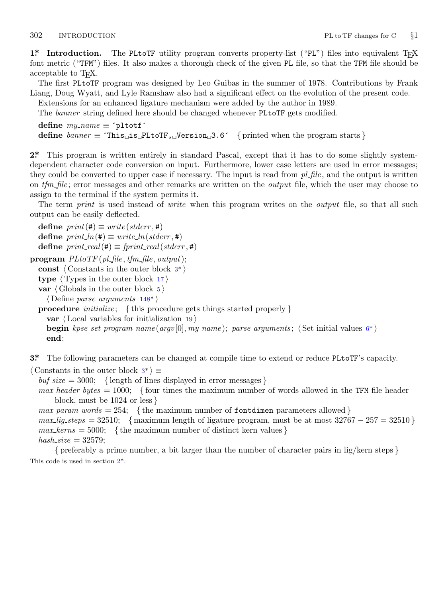<span id="page-1-0"></span>

**1\* Introduction.** The PLtoTF utility program converts property-list ("PL") files into equivalent T<sub>E</sub>X font metric ("TFM") files. It also makes a thorough check of the given PL file, so that the TFM file should be acceptable to T<sub>E</sub>X.

The first PLtoTF program was designed by Leo Guibas in the summer of 1978. Contributions by Frank Liang, Doug Wyatt, and Lyle Ramshaw also had a significant effect on the evolution of the present code.

Extensions for an enhanced ligature mechanism were added by the author in 1989.

The *banner* string defined here should be changed whenever PLtoTF gets modified.

**define**  $my_name \equiv \text{`pltotf}$ **define** *banner ≡* ´This␣is␣PLtoTF,␣Version␣3.6´ *{* printed when the program starts *}*

**2\*.** This program is written entirely in standard Pascal, except that it has to do some slightly systemdependent character code conversion on input. Furthermore, lower case letters are used in error messages; they could be converted to upper case if necessary. The input is read from *pl file* , and the output is written on *tfm file* ; error messages and other remarks are written on the *output* file, which the user may choose to assign to the terminal if the system permits it.

The term *print* is used instead of *write* when this program writes on the *output* file, so that all such output can be easily deflected.

 $\text{define } print(\texttt{\#}) \equiv write(staterr, \texttt{\#})$  $\text{define } print\_ln(\texttt{\#}) \equiv write\_ln(staterr, \texttt{\#})$  $\text{define } print\_ln(\texttt{\#}) \equiv write\_ln(staterr, \texttt{\#})$  $\text{define } print\_ln(\texttt{\#}) \equiv write\_ln(staterr, \texttt{\#})$  $\text{define } print\_real(\texttt{\#}) \equiv \text{fprint\_real}(\text{stderr}, \texttt{\#})$ 

 $\mathbf{program} \ \mathit{PLtoTF(\mathit{pl}\_\mathit{file},\mathit{tfm}\_\mathit{file},\mathit{output});$ 

**const** *⟨* Constants in the outer block 3\* *⟩*

**type** *⟨* Types in the outer block 17 *⟩*

**var** *⟨* Globals in the outer block 5 *⟩*

```
⟨ Define parse arguments 148* ⟩
```
**procedure** *initialize* ; *{* this procedure gets things started properly *}* **var** *⟨* Local variables for initialization 19 *⟩* **begin** *kpse set program name* (*argv* [0]*, my name* ); *parse arguments* ; *⟨* Set initial values 6\* *⟩* **end**;

**3\*.** The following parameters can be changed at compile time to extend or reduce PLtoTF's capacity.

*⟨* Constants in the outer block 3\* *⟩ ≡*

 $buf\_size = 3000; \{ length of lines displayed in error messages \}$ 

*max header bytes* = 1000; *{* four times the maximum number of words allowed in the TFM file header block, must be 1024 or less *}*

 $max\_param\_words = 254$ ; {the maximum number of fontdimen parameters allowed}

*max lig\_steps* = 32510; { maximum length of ligature program, must be at most  $32767 - 257 = 32510$  }  $max\_{terms} = 5000;$  {the maximum number of distinct kern values}

 $hash\_size = 32579;$ 

*{* preferably a prime number, a bit larger than the number of character pairs in lig/kern steps *}* This code is used in section 2\*.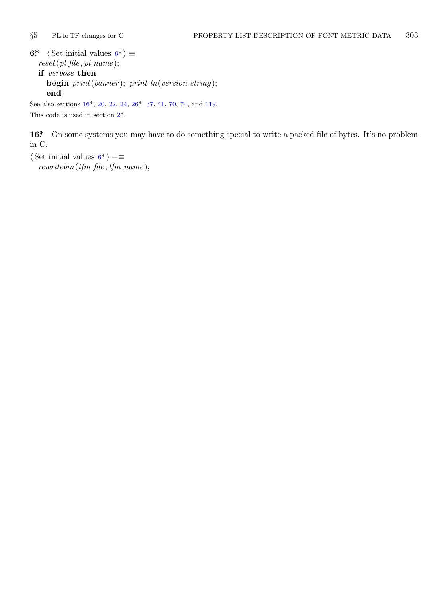<span id="page-2-0"></span>

**[6\\*](#page-1-0)**  $\langle$  Set initial values  $6^* \rangle \equiv$ *reset*(*pl file , pl name* ); **if** *verbose* **then begin** *print*(*banner* ); *print ln*(*version string* ); **end**; See also sections 16\*, 20, 22, 24, 26\*, 37, 41, 70, 74, and 119.

This code is used in section 2\*.

16<sup>\*</sup> On some systems you may have to do something special to write a packed file of bytes. It's no problem in C.

*⟨* Set initial values 6\* *⟩* +*≡ rewritebin*(*tfm file , tfm name* );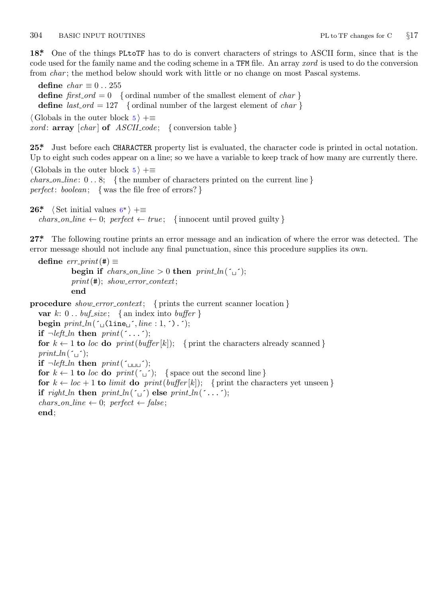## <span id="page-3-0"></span>304 BASIC INPUT ROUTINES PL to TF changes for C *§*17

**18\*.** One of the things PLtoTF has to do is convert characters of strings to ASCII form, since that is the code used for the family name and the coding scheme in a TFM file. An array *xord* is used to do the conversion from *char*; the method below should work with little or no change on most Pascal systems.

**define**  $char \equiv 0..255$ **define**  $first\_ord = 0$  { ordinal number of the smallest element of *char* } **define**  $last\_ord = 127$  { ordinal number of the largest element of *char* } *⟨* Globals in the outer block 5 *⟩* +*≡ xord* : **array** [*char* ] **of** *ASCII code* ; *{* conversion table *}*

**25\*.** Just before each C[HA](#page-2-0)RACTER property list is evaluated, the character code is printed in octal notation. Up to eight such codes appear on a line; so we have a variable to keep track of how many are currently there.

*⟨* Globals in the outer block 5 *⟩* +*≡*

*chars on line* : 0 *. .* 8; *{* the number of characters printed on the current line *} perfect*: *boolean*; *{* was the file free of errors? *}*

```
26* \langle Set initial values 6^* \rangle +≡
   \text{chars\_on\_line} \leftarrow 0; \text{ perfect} \leftarrow \text{true}; \{ \text{innocent until proved guilty} \}
```
**27\*.** The following routine prints an error message and an indication of where the error was detected. The error message should not include any final punctuation, since this procedure supplies its own.

```
\text{define } err\_print(\texttt{\#}) \equivbegin if chars_on_line > 0 then print\_ln(\tilde{\tau});
           print(#); show error context;
           end
```

```
procedure show error context; { prints the current scanner location }
   var k: 0.. \text{buf\_size}; {an index into \text{buffer}}
   begin print\_ln(\lceil \frac{\cdot}{\cdot} \rfloor \cdot (line : 1, \rceil, \rceil));
   if \neg left\_ln then print(\uparrow \dots \uparrow);for k \leftarrow 1 to loc do print(buffer[k]); { print the characters already scanned }
   print\_ln(\ulcorner\!\!\lrcorner\urcorner);if \neg left\_ln then print(\uparrow \bot \bot \bot \cdot);
   for k \leftarrow 1 to loc do print(\tilde{\theta}); {space out the second line }
   for k \leftarrow loc + 1 to limit do print(buffer[k]); { print the characters yet unseen }
   if \text{right\_ln} then \text{print\_ln}(\lceil \cdot \rceil) else \text{print\_ln}(\lceil \cdot \rceil);
   chars\_on\_line \leftarrow 0; perfect \leftarrow false;end;
```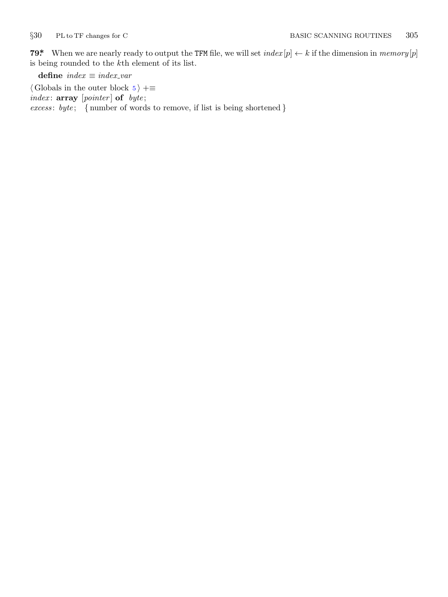<span id="page-4-0"></span>

**79\*** When we are nearly ready to output the TFM file, we will set  $index[p] \leftarrow k$  if the dimension in  $memory[p]$ is being rounded to the *k*th element of its list.

**define** *index ≡ index var*

*⟨* Globals in the outer block 5 *⟩* +*≡ index* : **array** [*pointer* ] **of** *byte* ; *excess* : *byte* ; *{* number of words to remove, if list is being shortened *}*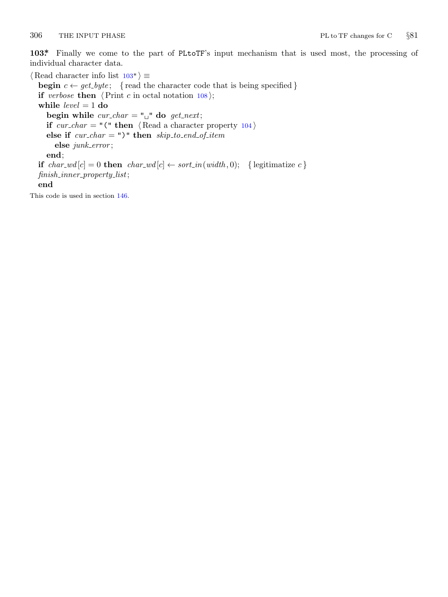<span id="page-5-0"></span>

**103\*.** Finally we come to the part of PLtoTF's input mechanism that is used most, the processing of individual character data.

*⟨* Read character info list 103\* *⟩ ≡* **begin**  $c \leftarrow get\_byte$ ; {read the character code that is being specified } **if** *verbose* **then**  $\langle$ Print *c* in octal notation 108 $\rangle$ ; **while** *level* = 1 **do begin while**  $cur\_char = " \sqcup"$  **do**  $get\_next;$ **if**  $cur\_char = "(" then \langle Read a character property 104 \rangle)$ **else if** *cur char* = ")" **then** *skip to end of item* **else** *junk error* ; **end**; **if**  $char\_wd[c] = 0$  **then**  $char\_wd[c] \leftarrow sort\_in(width, 0);$  {legitimatize  $c$ } *finish inner property list*; **end** This code is used in section 146.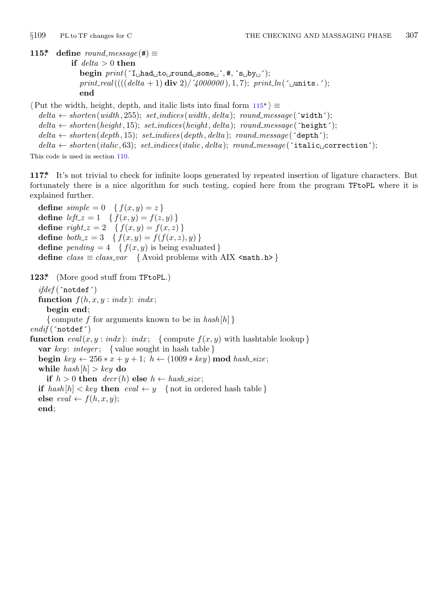<span id="page-6-0"></span>

**115\* define**  $round\_message(\#) \equiv$ 

**if** *delta >* 0 **then begin** *print*(´I␣had␣to␣round␣some␣´*,* #*,* ´s␣by␣´);  $print\_real(((delta + 1) \text{ div } 2) / \text{4000000}), 1, 7); \text{ } print\_ln(\text{1 units.}$ **end**

*⟨*Put the width, height, depth, and italic lists into final form 115\* *⟩ ≡*  $delta \leftarrow shorten(width, 255); set\_indices(width, delta); round\_message('width');$  $delta \leftarrow shorten(height, 15); set\_indices(height, delta); round\_message(\text{height}^{\prime});$  $delta \leftarrow shorten(depth, 15); set\_indices(depth, delta); round\_message(\text{`depth}');$  $delta \leftarrow shorten(italic, 63); set\_indices(italic, delta); round\_message('italic<sub>u</sub> correction');$ This code is used in section 110.

**117\*.** It's not trivial to check for infinite loops generated by repeated insertion of ligature characters. But fortunately there is a nice algorithm for such testing, copied here from the program TFtoPL where it is explained further.

**define**  $simple = 0 \{ f(x, y) = z \}$ **define**  $left \ x = 1 \quad \{ f(x, y) = f(z, y) \}$ **define**  $right_z = 2 \{ f(x, y) = f(x, z) \}$ **define**  $\phi \circ th_z z = 3 \quad \{ f(x, y) = f(f(x, z), y) \}$ **define**  $pending = 4 \{ f(x, y) \text{ is being evaluated } \}$ **define**  $class \equiv class\_var$  { Avoid problems with AIX <math.h> }

**123\*.** (More good stuff from TFtoPL.)

*ifdef* (´notdef´) **function**  $f(h, x, y : \text{ind}x)$ :  $\text{ind}x$ ; **begin end**; *{* compute *f* for arguments known to be in *hash* [*h*] *} endif* (´notdef´) **function**  $eval(x, y : \text{ind}x): \text{ind}x$ ; {compute  $f(x, y)$  with hashtable lookup} **var** *key* : *integer* ; *{* value sought in hash table *}* **begin**  $key \leftarrow 256 * x + y + 1$ ;  $h \leftarrow (1009 * key) \text{ mod } hash\_size$ ; **while**  $hash[h] > key$  **do if**  $h > 0$  **then**  $decr(h)$  **else**  $h \leftarrow hash\_size$ ; **if**  $hash[h] < key$  **then**  $eval \leftarrow y$  {not in ordered hash table } **else**  $eval \leftarrow f(h, x, y);$ **end**;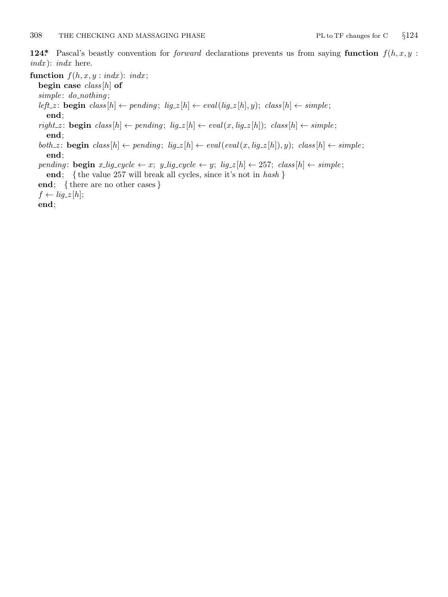<span id="page-7-0"></span>**124\*.** Pascal's beastly convention for *forward* declarations prevents us from saying **function** *f*(*h, x, y* : *indx* ): *indx* here.

**function**  $f(h, x, y : \text{ind}x)$ :  $\text{ind}x$ ;

**begin case** *class* [*h*] **of**

*simple* : *do nothing* ;

left\_z: **begin** class  $[h] \leftarrow$  pending;  $lig_z[h] \leftarrow eval(lig_z[h], y)$ ; class  $[h] \leftarrow simple$ ; **end**;

 $\mathit{right\_z} \colon \mathbf{begin}\; \mathit{class}[h] \leftarrow \mathit{pending};\; \mathit{lig\_z}[h] \leftarrow \mathit{eval}(x, \mathit{lig\_z}[h]); \; \mathit{class}[h] \leftarrow \mathit{simple};$ **end**;

both z: **begin** class  $[h] \leftarrow pending$ ;  $lig_z[h] \leftarrow eval(eval(x, lig_z[h]), y)$ ; class  $[h] \leftarrow simple$ ; **end**;

pending: begin x\_lig\_cycle  $\leftarrow$  x; y\_lig\_cycle  $\leftarrow$  y; lig\_z[h]  $\leftarrow$  257; class[h]  $\leftarrow$  simple; **end**; *{* the value 257 will break all cycles, since it's not in *hash }*

**end**; *{* there are no other cases *}*

 $f \leftarrow lig_zz[h];$ 

**end**;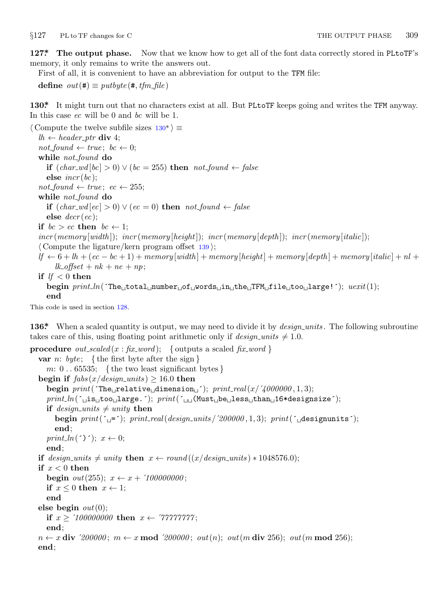<span id="page-8-0"></span>*§*127 PL to TF changes for C THE OUTPUT PHASE 309

**127\*. The output phase.** Now that we know how to get all of the font data correctly stored in PLtoTF's memory, it only remains to write the answers out.

First of all, it is convenient to have an abbreviation for output to the TFM file:

**define**  $out(\textbf{\#}) \equiv putbyte(\textbf{\#}, \textit{tfm}\_\textit{file})$ 

**130\*.** It might turn out that no characters exist at all. But PLtoTF keeps going and writes the TFM anyway. In this case *ec* will be 0 and *bc* will be 1.

*⟨* Compute the twelve subfile sizes 130\* *⟩ ≡*  $lh$  ←  $header\_ptr$  **div** 4;  $not\_found \leftarrow true; \, bc \leftarrow 0;$ **while** *not found* **do if** (*char wd* [*bc*] *>* 0) *∨* (*bc* = 255) **then** *not found ← false* **else** *incr* (*bc*);  $not\_found \leftarrow true; \text{ } ec \leftarrow 255;$ **while** *not found* **do if**  $(char\_wd[ec] > 0) ∨ (ec = 0)$  **then**  $not\_found \leftarrow false$ **else** *decr* (*ec*); **if**  $bc > ec$  **then**  $bc \leftarrow 1$ ; *incr* (*memory* [*width* ]); *incr* (*memory* [*height*]); *incr* (*memory* [*depth* ]); *incr* (*memory* [*italic*]); *⟨* Compute the ligature/kern program offset 139 *⟩*;  $df \leftarrow 6 + lh + (ec - bc + 1) + memory[width] + memory[height] + memory[depth] + memory[right] +$  $lk_{\alpha}$ *offset* +  $nk$  +  $ne$  +  $np$ ; **if**  $lf < 0$  **then begin** *print ln*(´The␣total␣number␣of␣words␣in␣the␣TFM␣file␣too␣large!´); *uexit*(1); **end**

This code is used in section 128.

**136\*** When a scaled quantity is output, we may need to divide it by *design\_units*. The following subroutine takes care of this, using floating point arithmetic only if  $design\_units \neq 1.0$ .

```
procedure out_scaled (x : fix\_word); { outputs a scaled fix\_word }
  var n: byte ; { the first byte after the sign }
    m: 0 . . 65535; { the two least significant bytes }
  begin if fabs(x/design\_units) \ge 16.0 then
    begin print('The <code>l</code> relative <code>l</code> dimension<sup>l</sup>); <math>print\_real(x/4000000, 1, 3)</math>;print ln(´␣is␣too␣large.´); print(´␣␣(Must␣be␣less␣than␣16*designsize´);
    if design\_units \neq unity then
       begin print('_0='); print\_real(design\_units/200000, 1, 3); print('_designunits');end;
    print_ln(´)´); x \leftarrow 0;
    end;
  if design\_units \neq unity then x \leftarrow round((x/design\_units) * 1048576.0);if x < 0 then
    begin out(255); x \leftarrow x + '100000000;if x \leq 0 then x \leftarrow 1;
    end
  else begin out(0);
    if x \ge 100000000 then x \leftarrow 777777777;
    end;
  n ← x div '2000000; m ← x mod '2000000; out(n); out(m \textbf{ div } 256); out(m \textbf{ mod } 256);
  end;
```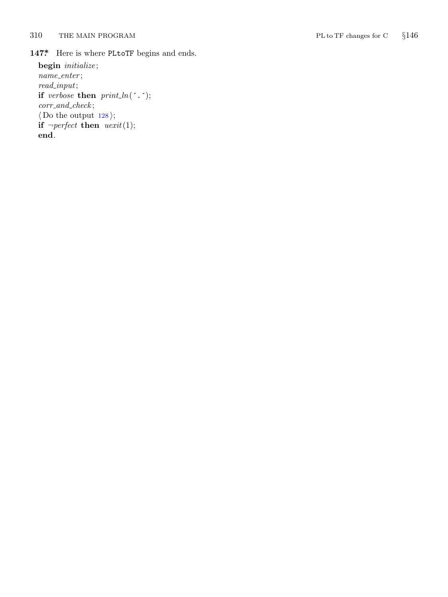<span id="page-9-0"></span>310 THE MAIN PROGRAM PL to TF changes for C

*§*146

147\* Here is where PLtoTF begins and ends. **begin** *initialize* ; *name enter* ; *read input* ;

**if** *verbose* **then**  $print\_ln($ *corr and check* ; *⟨* Do the output 128 *⟩* ; **if**  $\neg perfect$  **then**  $\text{uexit}(1);$ **end** .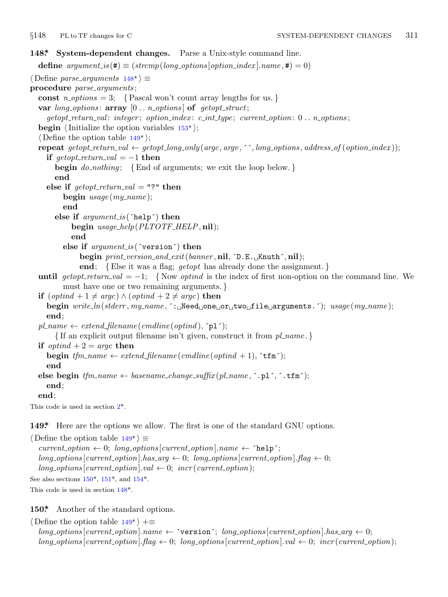<span id="page-10-0"></span>

```
148*. System-dependent changes. Parse a Unix-style command line.
  define options[option\_index].name, \textbf{\#}) = 0)⟨ Define parse arguments 148* ⟩ ≡
procedure parse arguments ;
  const n\_options = 3; {Pascal won't count array lengths for us.}
  var long options : array [0 . . n options ] of getopt struct;
      getopt return val : integer ; option index : c int type ; current option: 0 . . n options ;
  begin \langleInitialize the option variables 153^*;
  ⟨ Define the option table 149* ⟩;
  repeat getopt_return_val \leftarrow getopt_long_only(argc, argv, '', long_options, address_of(option_index));
     if \text{get} \text{opt}\text{-} \text{return}\text{-}\text{val} = -1 then
        begin do nothing ; {End of arguments; we exit the loop below. }
        end
     else if \text{getopt-return\_val} = "?" then
           begin usage (my name );
           end
        else if argument is (´help´) then
              begin usage help(PLTOTF HELP, nil);
              end
           else if argument is (´version´) then
                 begin print version and exit(banner , nil, ´D.E.␣Knuth´, nil);
                  end; {Else it was a flag; getopt has already done the assignment. }
  until getopt\_return\_val = -1; {Now optind is the index of first non-option on the command line. We
           must have one or two remaining arguments. }
  if (\text{optind} + 1 \neq \text{argc}) \land (\text{optind} + 2 \neq \text{argc}) then
     begin write ln(stderr , my name , ´:␣Need␣one␣or␣two␣file␣arguments.´); usage (my name );
     end;
  pl_name \leftarrow \text{extend\_filename}(\text{c} / \text{c} / \text{c} / \text{c} / \text{c} \cdot \text{c} \cdot \text{c} \cdot \text{c} \cdot \text{c} \cdot \text{c} \cdot \text{c} \cdot \text{c} \cdot \text{c} \cdot \text{c} \cdot \text{c} \cdot \text{c} \cdot \text{c} \cdot \text{c} \cdot \text{c} \cdot \text{c} \cdot \text{c} \cdot \text{c} \cdot \text{c} \cdot \text{c} \cdot \text{c} \cdot \text{c} \cdot \text{c} \cdot \text{c} \cdot \text{c} \{ If an explicit output filename isn't given, construct it from pl name . }
  if optind + 2 = \text{argc} then
     begin tfm_name \leftarrow extend_filename(\textit{cmdline}(\textit{optind} + 1), \textit{'tfm'});end
  else begin tfm_name \leftarrow basename\_change\_suffix(pl_name, \text{'}.pl', \text{'}.tfm');
     end;
  end;
This code is used in section 2*.
149*. Here are the options we allow. The first is one of the standard GNU options.
```
*⟨* Define the option table 149\* *⟩ ≡*  $current\_option \leftarrow 0; long\_options[current\_option].name \leftarrow 'help';$  $long-options[current\_option].has\_arg \leftarrow 0; long-options[current\_option].flag \leftarrow 0;$  $long\_\textit{options}$  [*current\_option*]*.val*  $\leftarrow$  0; *incr* (*current\_option*); See also sections  $150^*$ ,  $151^*$ , and  $154^*$ .

This code is used in section 148\*.

**150\*.** Another of the standard options.

*⟨* Define the option table 149\* *⟩* +*≡*  $long-options[current\_option].name \leftarrow 'version'; long\_options[current\_option].has\_arg \leftarrow 0;$  $long\_options[current\_option]$ .  $flag \leftarrow 0$ ;  $long\_options[current\_option]$ .  $val \leftarrow 0$ ;  $incr(current\_option)$ ;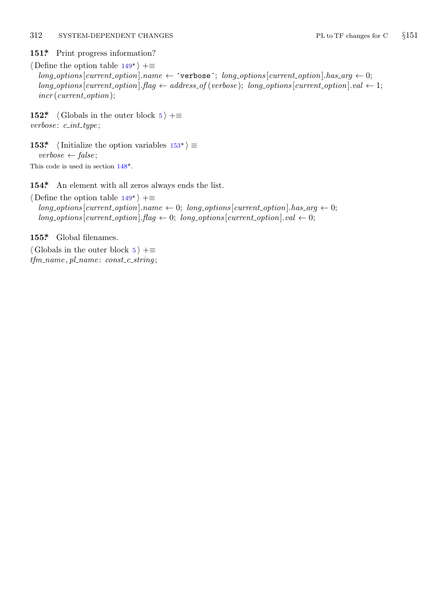## <span id="page-11-0"></span>312 SYSTEM-DEPENDENT CHANGES PL to TF changes for C *§*151

## 151\* Print progress information?

*⟨* Define the option table 149\* *⟩* +*≡*  $long-options$  [*current\_option*]*.name*  $\leftarrow$   $\check{\ }$ verbose $\check{\ }$ ; *long\_options* [*current\_option*]*.has\_arg*  $\leftarrow$  0;  $long\_options$  [*current\_option*]*.flag*  $\leftarrow$  *address\_of* (*verbose*); *long\_options* [*current\_option*]*.val*  $\leftarrow$  1; *incr* (*current option*);

**152\***  $\langle$  Globals in the [oute](#page-10-0)r block 5  $\rangle$  + $\equiv$ *verbose* : *c int type* ;

**153\***  $\langle$  Initialize the op[tion](#page-10-0) variables  $153^*$   $\equiv$ *verbose ← false* ; This code is used in section 148\*.

**154\*.** An element with all zeros always ends the list.

*⟨* Define the option table 149\* *⟩* +*≡*  $long\_options[current\_option].name \leftarrow 0; long\_options[current\_option].has\_arg \leftarrow 0;$  $long\_options[current\_option].flag \leftarrow 0; long\_options[current\_option].val \leftarrow 0;$ 

**155\*.** Global filenames.

*⟨* Globals in the outer block 5 *⟩* +*≡ tfm name , pl name* : *const c string* ;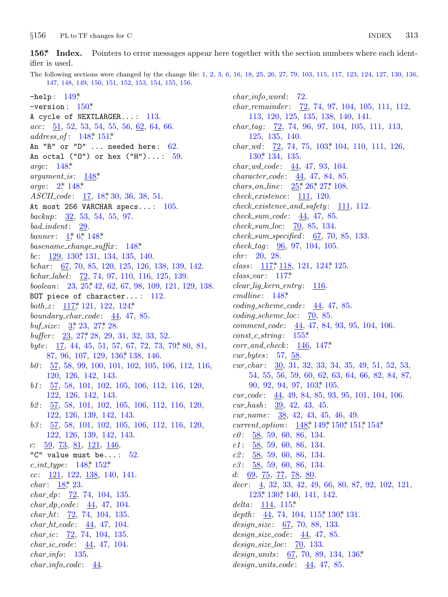<span id="page-12-0"></span> $§156$ PL to TF changes for C

 $156$ \* Index. Pointers to error messages appear here together with the section numbers where each identifier is used.

The following sections were changed by the change file: 1, 2, 3, 6, 16, 18, 25, 26, 27, 79, 103, 115, 117, 123, 124, 127, 130, 136, 147, 148, 149, 150, 151, 152, 153, 154, 155, 156.

 $-$ help:  $149*$ -version:  $150*$ A cycle of NEXTLARGER...: 113.  $acc: \underline{51}$ , 52, 53, 54, 55, 56, <u>62</u>, 64, 66.  $address\_of: 148, 151*$ An "R" or "D" ... needed here: 62. An octal ("0") or hex ("H")...:  $59$ . argc:  $148^*$  $argument_is:$  $148*$ *argv*:  $2^*$ ,  $148^*$  $ASCII\ code: 17, 18, 30, 36, 38, 51.$ At most 256 VARCHAR specs...: 105. backup:  $\frac{32}{53}$ , 53, 54, 55, 97.  $bad\_indent: 29.$ banner:  $1, 6, 148$ \* basename\_change\_suffix:  $148^*$ bc:  $\frac{129}{130}$ ,  $\frac{130}{131}$ ,  $\frac{134}{135}$ ,  $\frac{140}{140}$ . bchar: 67, 70, 85, 120, 125, 126, 138, 139, 142. bchar\_label: 72, 74, 97, 110, 116, 125, 139. boolean: 23, 25, 42, 62, 67, 98, 109, 121, 129, 138. BOT piece of character...:  $112$ . both\_z:  $117$ <sup>\*</sup>, 121, 122, 124<sup>\*</sup> boundary\_char\_code:  $44, 47, 85$ . *buf\_size*:  $3, 23, 27, 28$ . buffer: 23, 27, 28, 29, 31, 32, 33, 52. byte:  $\frac{17}{4}$ , 44, 45, 51, 57, 67, 72, 73, 79, 80, 81, 87, 96, 107, 129, 136, 138, 146.  $b0: 57, 58, 99, 100, 101, 102, 105, 106, 112, 116,$ 120, 126, 142, 143.  $b1: \frac{57}{56}$ , 58, 101, 102, 105, 106, 112, 116, 120, 122, 126, 142, 143.  $b2: \frac{57}{56}, 58, 101, 102, 105, 106, 112, 116, 120,$ 122, 126, 139, 142, 143. 63: 57, 58, 101, 102, 105, 106, 112, 116, 120, 122, 126, 139, 142, 143. c:  $59, 73, 81, 121, 146$ . "C" value must be...:  $52.$  $c\_int\_type: 148^*152^*$  $cc: 121, 122, 138, 140, 141.$ *char*:  $18^{*}$  23.  $char\_dp:$  72, 74, 104, 135.  $char\_dp\_code: \underline{44}, 47, 104.$  $char_-ht: 72, 74, 104, 135.$  $char\_ht\_code: 44, 47, 104.$  $char\_ic$ :  $72, 74, 104, 135.$ *char\_ic\_code:*  $44, 47, 104$ .  $char\_info: 135.$  $char\_info\_code: 44.$ 

 $char\_info\_word: 72.$ *char\_remainder:*  $\frac{72}{72}$ , 74, 97, 104, 105, 111, 112, 113, 120, 125, 135, 138, 140, 141. *char\_tag*:  $\frac{72}{72}$ , 74, 96, 97, 104, 105, 111, 113, 125, 135, 140. *char\_wd:*  $\frac{72}{72}$ , 74, 75, 103, 104, 110, 111, 126,  $130^*$  134, 135. *char\_wd\_code:*  $44, 47, 93, 104$ .  $character\_code: 44, 47, 84, 85.$ *chars\_on\_line:*  $25$ <sup>\*</sup>,  $26$ <sup>\*</sup>,  $27$ <sup>\*</sup>,  $108$ .  $check\_existence: 111, 120.$  $check\_existence\_and\_safety: \quad 111, 112.$  $check\_sum\_code: 44, 47, 85.$  $check\_sum\_loc: 70, 85, 134.$  $check\_sum\_specified: 67, 70, 85, 133.$  $check\_tag: 96, 97, 104, 105.$  $chr: 20, 28.$ *class*:  $117$ <sup>\*</sup>,  $118$ ,  $121$ ,  $124$ <sup>\*</sup>,  $125$ .  $class\_var: 117*$  $clear\_lig\_kern\_entry:$  116.  $cmdline: 148*$  $coding\_scheme\_code: 44, 47, 85.$  $coding\_scheme\_loc: 70, 85.$ *comment\_code:*  $44, 47, 84, 93, 95, 104, 106.$  $const_c\_string: 155*$  $corr_and\_check: 146, 147*$ cur bytes:  $57, 58$ . cur\_char:  $30, 31, 32, 33, 34, 35, 49, 51, 52, 53,$ 54, 55, 56, 59, 60, 62, 63, 64, 66, 82, 84, 87, 90, 92, 94, 97, 103, 105.  $cur\_code: 44, 49, 84, 85, 93, 95, 101, 104, 106.$  $cur\_hash: 39, 42, 43, 45.$ cur\_name:  $38, 42, 43, 45, 46, 49$ . current\_option:  $148$ <sup>\*</sup>, 149<sup>\*</sup>, 150<sup>\*</sup>, 151<sup>\*</sup>, 154<sup>\*</sup>  $c\theta$ :  $\underline{58}$ , 59, 60, 86, 134.  $c1: 58, 59, 60, 86, 134.$  $c2: 58, 59, 60, 86, 134.$  $c3: 58, 59, 60, 86, 134.$ d:  $69, 75, 77, 78, 80$  $decr: \underline{4}, 32, 33, 42, 49, 66, 80, 87, 92, 102, 121,$ 123, 130, 140, 141, 142. delta:  $114, 115^*$ depth:  $\frac{44}{74}$ , 74, 104, 115, 130, 131. design\_size:  $67, 70, 88, 133$ .  $design\_size\_code: 44, 47, 85.$  $design\_size\_loc: 70, 133.$ design\_units:  $67, 70, 89, 134, 136*$ 

 $design\_units\_code: 44, 47, 85.$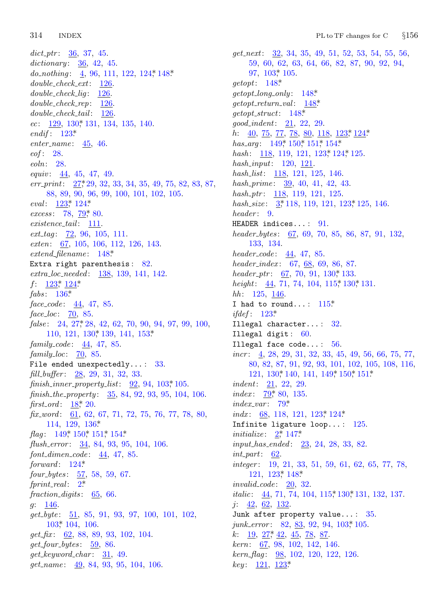314 **INDEX** 

 $dict\_ptr: 36, 37, 45.$ dictionary:  $36, 42, 45$ . do\_nothing: 4, 96, 111, 122, 124, 148\*  $double\_check\_ext: 126$ .  $double\_check\_lig: \underline{126}$  $double\_check\_rep: \quad \underline{126}$  $double\_check\_tail:$  126.  $ec: 129, 130, 131, 134, 135, 140.$ endif:  $123^*$  $enter_name: 45, 46.$ eof: 28.  $\mathit{eoln}: 28.$ *equiv*:  $44, 45, 47, 49$ .  $err\_print: \quad 27, 29, 32, 33, 34, 35, 49, 75, 82, 83, 87,$ 88, 89, 90, 96, 99, 100, 101, 102, 105. eval:  $123$ <sup>\*</sup>,  $124$ <sup>\*</sup> excess: 78, 79, 80.  $existence\_tail:$  111.  $ext\_tag: 72, 96, 105, 111.$ exten: 67, 105, 106, 112, 126, 143.  $extend\_filename: 148*$ Extra right parenthesis:  $82$ . extra\_loc\_needed: 138, 139, 141, 142.  $f: 123^* 124^*$  $fabs: 136*$  $face\_code: 44, 47, 85.$  $face\_loc: 70, 85.$  $false: 24, 27, 28, 42, 62, 70, 90, 94, 97, 99, 100,$  $110, 121, 130^*139, 141, 153^*$ family\_code:  $44, 47, 85$ . family\_loc:  $\overline{70}$ , 85. File ended unexpectedly...:  $33$ . fill\_buffer: 28, 29, 31, 32, 33.  $\text{finish\_inner\_property\_list:}$  92, 94, 103\*105.  $\text{finish\_the\_property:} \quad 35, 84, 92, 93, 95, 104, 106.$ *first\_ord*:  $18$ <sup>\*</sup>, 20.  $\textit{fix\_word}:$  61, 62, 67, 71, 72, 75, 76, 77, 78, 80, 114, 129, 136\* *flag*:  $149$ <sup>\*</sup>,  $150$ <sup>\*</sup>,  $151$ <sup>\*</sup>,  $154$ <sup>\*</sup> flush\_error:  $\frac{34}{5}$ , 84, 93, 95, 104, 106.  $font\_dimensione: 44, 47, 85.$ forward:  $124^*$  $four bytes: 57, 58, 59, 67.$  $fprint\_real: 2^*$ fraction-digits:  $65, 66$ .  $q: 146.$  $get_byte: 51, 85, 91, 93, 97, 100, 101, 102,$  $103$ <sup>\*</sup>,  $104$ ,  $106$ .  $get\_fix:$  62, 88, 89, 93, 102, 104.  $get\_four\_bytes:$  59, 86.  $get\_keyword\_char: 31, 49.$ get\_name: 49, 84, 93, 95, 104, 106.

 $get{\_}next: 32, 34, 35, 49, 51, 52, 53, 54, 55, 56,$ 59, 60, 62, 63, 64, 66, 82, 87, 90, 92, 94,  $97, 103, 105.$  $\text{getopt}: \quad 148^*$  $getopt\_long\_only: 148*$  $getopt\_return\_val:$  148\*  $getopt\_struct: 148*$  $good\_indent: 21, 22, 29.$ *h*:  $\underline{40}$ ,  $\underline{75}$ ,  $\underline{77}$ ,  $\underline{78}$ ,  $\underline{80}$ ,  $\underline{118}$ ,  $\underline{123}$ <sup>\*</sup>,  $\underline{124}$ <sup>\*</sup> has\_arq:  $149$ <sup>\*</sup>  $150$ <sup>\*</sup>  $151$ <sup>\*</sup>  $154$ <sup>\*</sup> hash: 118, 119, 121, 123, 124, 125. hash\_input:  $120, 121$ . hash\_list: 118, 121, 125, 146. hash prime:  $39, 40, 41, 42, 43$ .  $hash_ptr: 118, 119, 121, 125.$ hash\_size:  $3, 118, 119, 121, 123, 125, 146$ . header: 9. HEADER indices...: 91. header\_bytes:  $67, 69, 70, 85, 86, 87, 91, 132,$ 133, 134.  $header\_code: 44, 47, 85.$ header\_index:  $67, 68, 69, 86, 87$ . header\_ptr:  $67, 70, 91, 130$ <sup>\*</sup> 133. height:  $\frac{44}{71}$ , 74, 104, 115, 130, 131.  $hh: 125, 146.$ I had to round...:  $115^*$ *ifdef*:  $123^*$ Illegal character...: 32. Illegal digit:  $60$ . Illegal face  $code...: 56$ . *incr*:  $\underline{4}$ , 28, 29, 31, 32, 33, 45, 49, 56, 66, 75, 77, 80, 82, 87, 91, 92, 93, 101, 102, 105, 108, 116, 121, 130, 140, 141, 149, 150, 151\* *indent*:  $21, 22, 29$ . index:  $79$ <sup>\*</sup>, 80, 135.  $index\_var: 79^*$ *indx*:  $68$ , 118, 121, 123, 124\* Infinite ligature loop...:  $125$ . *initialize:*  $2^*$ ,  $147^*$ *input has ended:*  $23, 24, 28, 33, 82$ .  $int_{\mathcal{D}}$  and : 62.  $integer: 19, 21, 33, 51, 59, 61, 62, 65, 77, 78,$ 121, 123, 148.  $invalid\_code: 20, 32.$ *italic*:  $\frac{44}{71}$ , 71, 74, 104, 115, 130, 131, 132, 137.  $j: \underline{42}, 62, 132.$ Junk after property value...:  $35$ . *junk\_error*: 82, 83, 92, 94, 103, 105.  $k: \quad 19, \; 27, \; 42, \; 45, \; 78, \; 87.$ *kern*:  $\underline{67}$ , 98, 102, 142, 146.  $\textit{kern\_flag}:$  98, 102, 120, 122, 126.  $key: \quad \underline{121}, \ \underline{123^*}$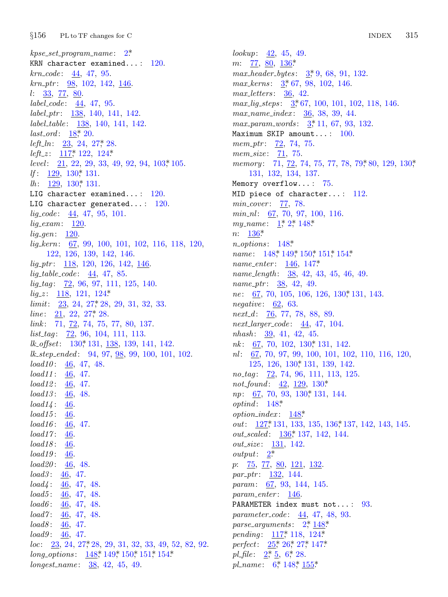$k pse\_set\_program\_name:$  2\* KRN character examined...:  $120$ .  $krn\_code: 44, 47, 95.$  $krn_1ptr$ : 98, 102, 142, 146.  $l: \frac{33}{77}, \frac{80}{6}.$  $label\_code:44, 47, 95.$  $label\_ptr:138, 140, 141, 142.$ label\_table: 138, 140, 141, 142. *last\_ord*:  $18$ <sup>\*</sup>, 20. *left\_ln:*  $23, 24, 27$ <sup>\*</sup>, 28. left\_z:  $117^*$ , 122, 124\* level:  $21, 22, 29, 33, 49, 92, 94, 103, 105.$ If:  $129, 130^*$  131. *lh*:  $\frac{129}{130}$ , 130, 131. LIG character examined...:  $120$ . LIG character generated...:  $120$ .  $lig\_code: 44, 47, 95, 101.$  $lig\_exam: \underline{120}.$  $lig\_{gen}$ :  $\underline{120}$ .  $lig\text{-}kern: 67, 99, 100, 101, 102, 116, 118, 120,$ 122, 126, 139, 142, 146.  $lig\_ptr$ : 118, 120, 126, 142, 146.  $lig\_table\_code: 44, 47, 85.$  $lig\_tag: 72, 96, 97, 111, 125, 140.$  $lig\_z: \quad \underline{118}, \; 121, \; 124^*$  $limit: 23, 24, 27, 28, 29, 31, 32, 33.$ *line*:  $21, 22, 27, 28$ .  $link: 71, 72, 74, 75, 77, 80, 137.$  $list\_tag: 72, 96, 104, 111, 113.$  $lk_{\sim} offset: 130^*131, 138, 139, 141, 142.$  $lk\_step\_ended: 94, 97, 98, 99, 100, 101, 102.$  $load10: 46, 47, 48.$  $load11: 46, 47.$  $load12: 46, 47.$  $load13: 46, 48.$  $load14: 46.$  $load15: 46.$  $load16: \frac{46}{5}, 47.$  $load17: 46.$  $load18: \underline{46}$ .  $load19: 46.$  $load20: 46, 48.$  $load3: \frac{46}{5}, 47.$  $load4: 46, 47, 48.$  $load5: 46, 47, 48.$  $load6: 46, 47, 48.$  $load7: 46, 47, 48.$ *load8*:  $\frac{46}{5}$ , 47.  $load9: 46, 47.$  $loc: \underline{23}, 24, 27, 28, 29, 31, 32, 33, 49, 52, 82, 92.$ long\_options:  $148$ <sup>\*</sup>,  $149$ <sup>\*</sup>,  $150$ <sup>\*</sup>,  $151$ <sup>\*</sup>,  $154$ <sup>\*</sup>  $longest_name: 38, 42, 45, 49.$ 

lookup:  $42, 45, 49$ .  $m: \quad \underline{77}, \ \underline{80}, \ \underline{136}^*$  $max\_header\_bytes: 3, 9, 68, 91, 132.$ max kerns:  $3, 67, 98, 102, 146$ .  $max\_letters: \quad 36, \quad 42.$  $max\_lig\_steps: \quad 3,67, 100, 101, 102, 118, 146.$  $max_name_index: 36, 38, 39, 44.$  $max\_param\_words: 3, 11, 67, 93, 132.$ Maximum SKIP amount...:  $100$ . *mem\_ptr*:  $\frac{72}{72}$ , 74, 75. mem\_size: 71, 75. memory: 71, 72, 74, 75, 77, 78, 79, 80, 129, 130,\* 131, 132, 134, 137. Memory overflow...:  $75$ . MID piece of character...:  $112$ .  $min\_cover: \quad \underline{77}, \quad 78.$  $min_n!$ : 67, 70, 97, 100, 116. my\_name:  $1, 2, 148$ \*  $n: \frac{136^*}{2}$  $n\_options: 148*$ name: 148\* 149\* 150\* 151\* 154\* *name\_enter*:  $146, 147^*$ name\_length:  $38, 42, 43, 45, 46, 49$ . *name\_ptr*:  $\frac{38}{36}$ , 42, 49. *ne*:  $\overline{67}$ , 70, 105, 106, 126, 130, 131, 143. *negative*:  $\underline{62}$ , 63.  $next_d$ : 76, 77, 78, 88, 89.  $next\_larger\_code: 44, 47, 104.$  $nhash: \underline{39}$ , 41, 42, 45.  $nk$ : 67, 70, 102, 130, 131, 142. nl:  $67, 70, 97, 99, 100, 101, 102, 110, 116, 120,$ 125, 126, 130, 131, 139, 142. no\_tag:  $\overline{72}$ , 74, 96, 111, 113, 125. not\_found:  $42, 129, 130$ \* *np*: 67, 70, 93, 130, 131, 144.  $optind: 148*$ *option\_index*:  $148^*$ *out*: 127,\* 131, 133, 135, 136,\* 137, 142, 143, 145. out\_scaled: 136\* 137, 142, 144. *out\_size*: 131, 142. *output*:  $2^*$  $p: 75, 77, 80, 121, 132$ *par\_ptr*:  $132, 144$ . *param:* 67, 93, 144, 145.  $param\_enter: 146.$ PARAMETER index must not...: 93. parameter\_code: 44, 47, 48, 93. parse\_arguments:  $2, \frac{148^*}{1}$ pending: 117, 118, 124\* perfect:  $25$ <sup>\*</sup>,  $26$ <sup>\*</sup>,  $27$ <sup>\*</sup>,  $147$ <sup>\*</sup> pl\_file:  $2, 5, 6, 28$ .

pl\_name:  $6, 148, \underline{155}$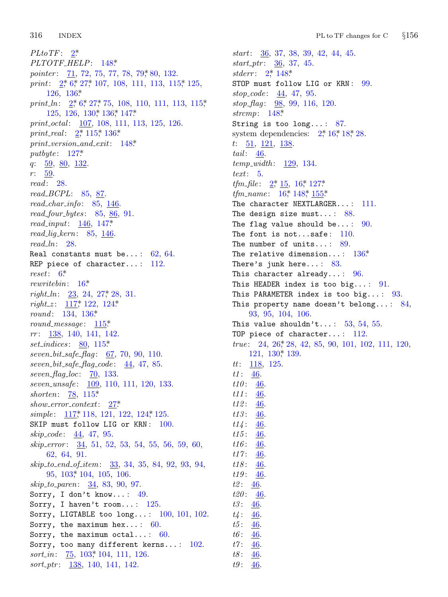316 **INDEX** 

 $PLto TF: \quad 2^*$ PLTOTF\_HELP: 148\* *pointer:* 71, 72, 75, 77, 78, 79\*80, 132. print:  $2^*6^*27^*107$ , 108, 111, 113, 115, 125,  $126.136*$ print\_ln:  $2^*$ , 6,  $27^*$ , 75, 108, 110, 111, 113, 115, 125, 126, 130, 136, 147\* print\_octal: 107, 108, 111, 113, 125, 126. print\_real:  $2^*$ , 115, 136\*  $print\_version\_and\_exit: 148$ <sup>\*</sup> putbyte:  $127^*$  $q: \frac{59}{0}, \frac{80}{0}, \frac{132}{0}$  $r: 59$ .  $read: 28.$  $read\_BCPL: 85, 87.$  $read\_char\_info: 85, 146.$  $read_four_bytes: 85, 86, 91.$  $read\_input: 146, 147*$  $read\_lig\_kern: 85, 146.$  $read\_ln: 28$ . Real constants must be...:  $62, 64$ . REP piece of character...:  $112$ .  $reset: 6*$ rewrite bin:  $16^*$  $right\_ln:$   $\frac{23}{23}, 24, 27, 28, 31.$  $right_z$ :  $\frac{117}{2}$ , 122, 124\* round: 134, 136\* round\_message:  $115*$  $rr: 138, 140, 141, 142.$ set\_indices:  $80, 115^*$ seven\_bit\_safe\_flag:  $67, 70, 90, 110$ .  $seven\_bit\_safe\_flag\_code: \quad 44, 47, 85.$ seven\_flag\_loc:  $\overline{70}$ , 133. *seven\_unsafe:* 109, 110, 111, 120, 133. shorten:  $78, 115^*$  $show_error\text{-}context: 27*$ simple: 117,\* 118, 121, 122, 124,\* 125. SKIP must follow LIG or KRN: 100.  $skip\_code: 44, 47, 95.$  $skip_error: 34, 51, 52, 53, 54, 55, 56, 59, 60,$ 62, 64, 91. skip\_to\_end\_of\_item: 33, 34, 35, 84, 92, 93, 94, 95, 103, 104, 105, 106. *skip\_to\_paren:* 34, 83, 90, 97. Sorry, I don't know...:  $49$ . Sorry, I haven't room...:  $125$ . Sorry, LIGTABLE too long...:  $100, 101, 102$ . Sorry, the maximum hex...:  $60$ . Sorry, the maximum octal...:  $60$ . Sorry, too many different kerns...:  $102$ . *sort\_in*:  $\frac{75}{103}$ , 103, 104, 111, 126.

 $sort_ptr: 138, 140, 141, 142.$ 

 $start: 36, 37, 38, 39, 42, 44, 45.$  $start\_ptr: 36, 37, 45.$ *stderr*:  $2^{*}$ , 148\* STOP must follow LIG or KRN: 99. stop\_code:  $\frac{44}{5}$ , 47, 95.  $stop\_{flag}: 98, 99, 116, 120.$ strcmp:  $148*$ String is too long...:  $87$ . system dependencies:  $2, 16, 18, 28$ .  $t: \frac{51}{121}, \frac{121}{138}.$ tail:  $46.$  $temp\_width:$  129, 134.  $text: 5.$ *tfm\_file*:  $2, \frac{15}{15}$ ,  $16, \frac{127}{15}$ *tfm\_name*:  $16^*$  148<sup>\*</sup> 155<sup>\*</sup> The character NEXTLARGER...: - 111. The design size must...:  $88$ . The flag value should be...: 90. The font is not...safe:  $110$ . The number of units...:  $89$ . The relative dimension...:  $136*$ There's junk here...:  $83$ . This character already...:  $96$ . This HEADER index is too big...:  $91$ . This PARAMETER index is too big...:  $93$ . This property name doesn't belong...:  $84$ , 93, 95, 104, 106. This value shouldn't...: 53, 54, 55. TOP piece of character...:  $112$ . true:  $24, 26, 28, 42, 85, 90, 101, 102, 111, 120,$  $121, 130^*$  139.  $tt: \underline{118}, 125.$  $t1: 46.$  $t10:46$  $t11: \frac{46}{5}$  $t12:$ 46.  $t13: \frac{46}{5}$  $t14: 46.$  $t15:$ 46.  $t16:46.$  $t17:46.$  $t18: \frac{46}{5}$  $t19: \frac{46}{5}$  $t2: 46.$  $t20: 46.$  $t3:46.$  $t4: 46.$  $t5:46.$  $t6:46.$  $t7: \frac{46}{5}$  $t8:46.$  $t9: 46$ .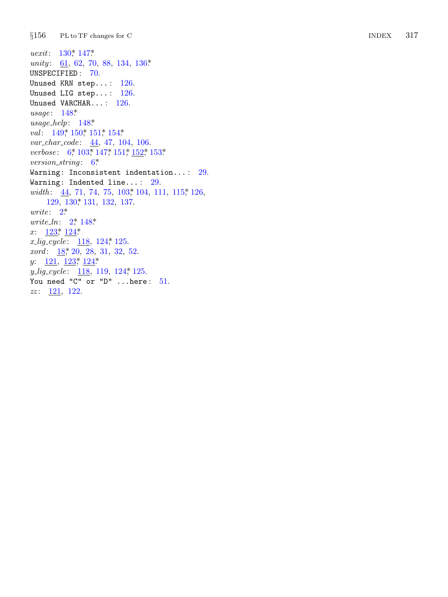$§156$  $PL$  to  $TF$  changes for  $C$ 

*uexit*:  $130^*$ ,  $147^*$ unity: 61, 62, 70, 88, 134, 136\* UNSPECIFIED:  $70.$ Unused KRN step...: 126. Unused LIG step...:  $126$ . Unused VARCHAR...:  $126$ . usage:  $148$ <sup>\*</sup>  $usage\_help: 148*$ val: 149, 150, 151, 154\*  $var_{c}char_{c}code: 44, 47, 104, 106.$ verbose: 6,\* 103,\* 147,\* 151,\* 152,\* 153\* version\_string:  $6^*$ Warning: Inconsistent indentation...:  $29$ . Warning: Indented line...:  $29$ . width: 44, 71, 74, 75, 103, 104, 111, 115, 126, 129, 130, 131, 132, 137.  $write: 2^*$ *urite\_ln:*  $2^{*}$ , 148\* x:  $123$ <sup>\*</sup>,  $124$ <sup>\*</sup>  $x_{\text{L}}\text{ig\_cycle}:$  118, 124, 125.  $xord: 18, 20, 28, 31, 32, 52.$  $y: \quad \underline{121}, \ \underline{123}^* \ \underline{124}^*$  $y_{\text{-}}\text{lig\_cycle:} \quad \underline{118}, \ 119, \ 124, \ 125.$ You need "C" or "D" ... here:  $51$ .  $zz: \underline{121}, 122.$ 

**INDEX** 317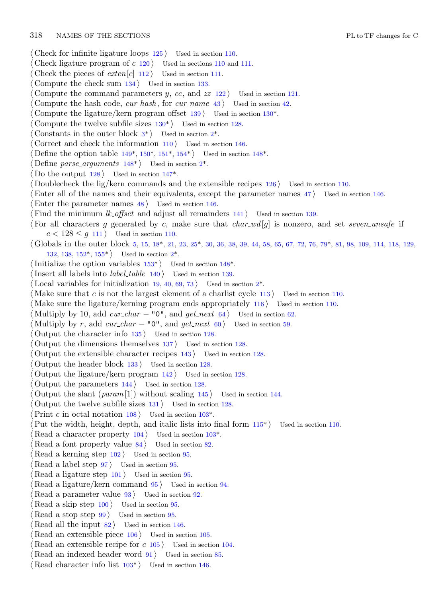*⟨* Check for infinite ligature loops 125 *⟩* Used in section 110. *Check ligature program of <i>c* 120 *and 111.* [U](#page-8-0)sed in sections 110 and 111. Check the pieces of  $ext{er}[c]$  [11](#page-1-0)2 *a* Used in section [1](#page-1-0)11. *⟨* Compute the check sum 134 *⟩* Used in section 133. Compute the command [par](#page-10-0)a[met](#page-10-0)e[rs](#page-11-0)  $y$ ,  $cc$ , and  $zz$  122  $\rangle$  Use[d in](#page-10-0) section 121. *⟨* Compute the hash code, *[cur](#page-10-0) hash* , for *cur na[m](#page-1-0)e* 43 *⟩* Used in section 42. *Compute the ligature/kern progra[m off](#page-9-0)set*  $139$  *Vsed in section 130<sup>\*</sup>. ⟨* Compute the twelve subfile sizes 130\* *⟩* Used in section 128. Constants in the outer block  $3^*$  Used in section  $2^*$ . *⟨* Correct and check the information 110 *⟩* Used in section 146. *Define the option table 149\*, 150\*, 151\*, 154\** $\}$  **Used in section 148\*.** *Define parse\_arguments*  $148^*$  *\* Used in section 2<sup>\*</sup>. Do the output  $128$  Used in section  $147^*$ . *<u>Doublecheck the lig/kern comm[and](#page-3-0)s and t[he](#page-3-0) extensible recipes 126 <i>>* Used in s[ecti](#page-4-0)on 110.</u> *⟨*Enter all of [the](#page-11-0) [nam](#page-11-0)es and their equi[va](#page-1-0)lents, except the parameter names 47 *⟩* Used in section 146. Enter the parameter names  $48$  *\* Used in section 146. *Find the minimum <i>lk\_offset* and adjust all remainders 141 *\* Used in section 139. *⟨* For all characters *g* generated by *c*, make sure that *char [wd](#page-1-0)* [*g*] is nonzero, and set *seven unsafe* if  $c < 128 \leq g$  111 *\* Used in section 110. *⟨* Globals in the outer block 5, 15, 18\*, 21, 23, 25\*, 30, 36, 38, 39, 44, 58, 65, 67, 72, 76, 79\*, 81, 98, 109, 114, 118, 129, 132, 138, 152\*, 155\* *⟩* Used in section 2\*. *⟨*Initialize the option variables 153\* *⟩* Used in section 148\*. *Insert all labels into <i>label\_table* 140 *\* Used in section 139. Local variables for initialization  $19, 40, 69, 73$  Used in section  $2^*$ . *⟨* Make sure that *c* is not the largest element of a charlist cycle 113 *⟩* Used in section 110. *Make sure the ligature/kerning program ends appropriately 116 <i>\* Used in section 110. *Multiply by 10, add*  $cur\_char - "0",$  *and*  $get\_next$  *64)* Used in section 62. *Multiply by r, add*  $cur\_char - "0",$  *and*  $get\_next$  *60) Used in section 59. ⟨* Output the character info 135 *⟩* Used in section 128. *⟨* Output the dimensions themselves 137 *⟩* Used in section 128. *⟨* Output the extensible character recipes 143 *⟩* [U](#page-5-0)sed in section 128. *⟨* Output the header block 133 *⟩* Used in section 128. *⟨* Output the ligature/kern program 142 *⟩* Used i[n se](#page-5-0)ction 128. *⟨* Output the parameters 144 *⟩* Used in section 128. Output the slant  $(param[1])$  without scaling  $145$  *\* Used in section 144. *⟨* Output the twelve subfile sizes 131 *⟩* Used in section 128.  $\text{Print } c \text{ in octal notation } 108$  *Used in section 103\*. Put the width, height, depth, and italic lists into final form*  $115^*$  *Used in section 110. Read a character property*  $104$  *Vsed in section*  $103^*$ . *Read a font property value 84 <i>/* Used in section 82. *⟨* Read a kerning step 102 *⟩* Used in section 95. *⟨* Read a label step 97 *⟩* Used in section 95. *Read a ligature step*  $101$  */* Used in section 95. *Read a ligature/kern command*  $95$  *Used in section 94. Read a parameter value 93 <i>v* Used in section 92. *⟨* Read a skip step 100 *⟩* [Used](#page-5-0) in section 95. *⟨* Read a stop step 99 *⟩* Used in section 95. *Read all the input 82 <i>Net Used in section 146. Read an extensible piece 106 <i>V* Used in section 105. *Read an extensible recipe for <i>c* 105 *a* Used in section 104. *Read an indexed header word*  $91$  *Vsed in section 85.* 

*⟨* Read character info list 103\* *⟩* Used in section 146.